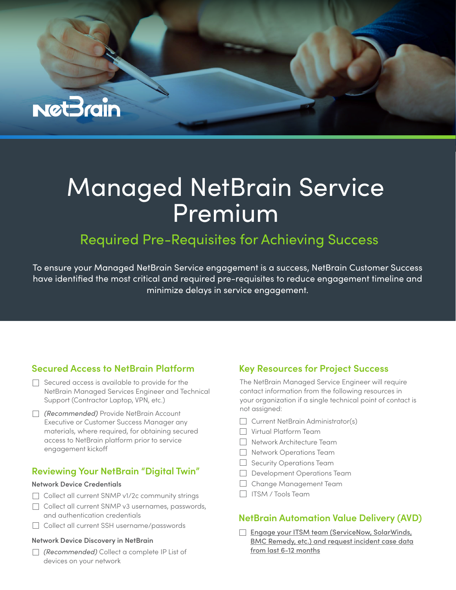# **Net3rain**

# Managed NetBrain Service Premium

# Required Pre-Requisites for Achieving Success

To ensure your Managed NetBrain Service engagement is a success, NetBrain Customer Success have identified the most critical and required pre-requisites to reduce engagement timeline and minimize delays in service engagement.

## **Secured Access to NetBrain Platform**

- $\Box$  Secured access is available to provide for the NetBrain Managed Services Engineer and Technical Support (Contractor Laptop, VPN, etc.)
- *(Recommended)* Provide NetBrain Account Executive or Customer Success Manager any materials, where required, for obtaining secured access to NetBrain platform prior to service engagement kicko

### **Reviewing Your NetBrain "Digital Twin"**

#### **Network Device Credentials**

- Collect all current SNMP v1/2c community strings
- Collect all current SNMP v3 usernames, passwords, and authentication credentials
- □ Collect all current SSH username/passwords

#### **Network Device Discovery in NetBrain**

*(Recommended)* Collect a complete IP List of devices on your network

## **Key Resources for Project Success**

The NetBrain Managed Service Engineer will require contact information from the following resources in your organization if a single technical point of contact is not assigned:

- $\Box$  Current NetBrain Administrator(s)
- Virtual Platform Team
- Network Architecture Team
- Network Operations Team
- Security Operations Team
- Development Operations Team
- Change Management Team
- $\Box$  ITSM / Tools Team

### **NetBrain Automation Value Delivery (AVD)**

[Engage your ITSM team \(ServiceNow, SolarWinds,](https://community.netbraintech.com/articles/knowledgebase/NetBrain-Automation-ITSM-Incident-Data-23-11-2021)  BMC Remedy, etc.) and request incident case data from last 6-12 months